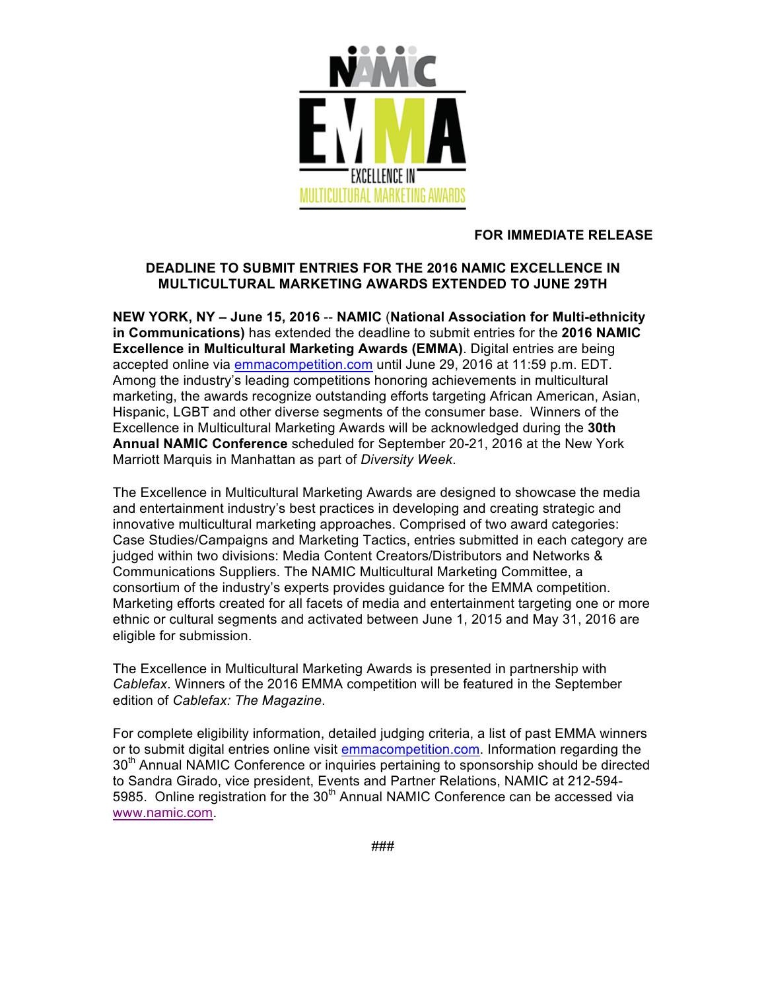

## **FOR IMMEDIATE RELEASE**

## **DEADLINE TO SUBMIT ENTRIES FOR THE 2016 NAMIC EXCELLENCE IN MULTICULTURAL MARKETING AWARDS EXTENDED TO JUNE 29TH**

**NEW YORK, NY – June 15, 2016** -- **NAMIC** (**National Association for Multi-ethnicity in Communications)** has extended the deadline to submit entries for the **2016 NAMIC Excellence in Multicultural Marketing Awards (EMMA)**. Digital entries are being accepted online via emmacompetition.com until June 29, 2016 at 11:59 p.m. EDT. Among the industry's leading competitions honoring achievements in multicultural marketing, the awards recognize outstanding efforts targeting African American, Asian, Hispanic, LGBT and other diverse segments of the consumer base. Winners of the Excellence in Multicultural Marketing Awards will be acknowledged during the **30th Annual NAMIC Conference** scheduled for September 20-21, 2016 at the New York Marriott Marquis in Manhattan as part of *Diversity Week*.

The Excellence in Multicultural Marketing Awards are designed to showcase the media and entertainment industry's best practices in developing and creating strategic and innovative multicultural marketing approaches. Comprised of two award categories: Case Studies/Campaigns and Marketing Tactics, entries submitted in each category are judged within two divisions: Media Content Creators/Distributors and Networks & Communications Suppliers. The NAMIC Multicultural Marketing Committee, a consortium of the industry's experts provides guidance for the EMMA competition. Marketing efforts created for all facets of media and entertainment targeting one or more ethnic or cultural segments and activated between June 1, 2015 and May 31, 2016 are eligible for submission.

The Excellence in Multicultural Marketing Awards is presented in partnership with *Cablefax*. Winners of the 2016 EMMA competition will be featured in the September edition of *Cablefax: The Magazine*.

For complete eligibility information, detailed judging criteria, a list of past EMMA winners or to submit digital entries online visit emmacompetition.com. Information regarding the 30<sup>th</sup> Annual NAMIC Conference or inquiries pertaining to sponsorship should be directed to Sandra Girado, vice president, Events and Partner Relations, NAMIC at 212-594- 5985. Online registration for the  $30<sup>th</sup>$  Annual NAMIC Conference can be accessed via www.namic.com.